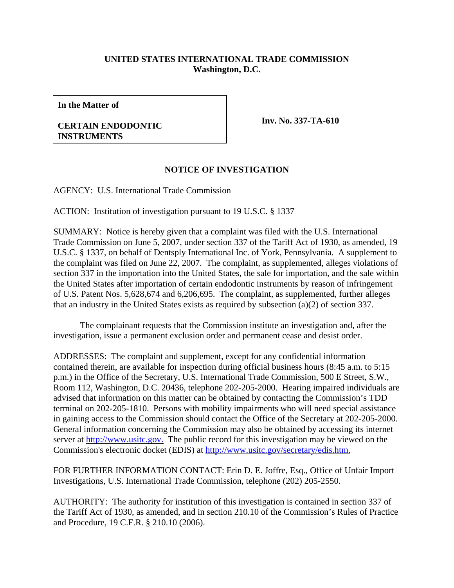## **UNITED STATES INTERNATIONAL TRADE COMMISSION Washington, D.C.**

**In the Matter of**

## **CERTAIN ENDODONTIC INSTRUMENTS**

**Inv. No. 337-TA-610**

## **NOTICE OF INVESTIGATION**

AGENCY: U.S. International Trade Commission

ACTION: Institution of investigation pursuant to 19 U.S.C. § 1337

SUMMARY: Notice is hereby given that a complaint was filed with the U.S. International Trade Commission on June 5, 2007, under section 337 of the Tariff Act of 1930, as amended, 19 U.S.C. § 1337, on behalf of Dentsply International Inc. of York, Pennsylvania. A supplement to the complaint was filed on June 22, 2007. The complaint, as supplemented, alleges violations of section 337 in the importation into the United States, the sale for importation, and the sale within the United States after importation of certain endodontic instruments by reason of infringement of U.S. Patent Nos. 5,628,674 and 6,206,695. The complaint, as supplemented, further alleges that an industry in the United States exists as required by subsection (a)(2) of section 337.

The complainant requests that the Commission institute an investigation and, after the investigation, issue a permanent exclusion order and permanent cease and desist order.

ADDRESSES: The complaint and supplement, except for any confidential information contained therein, are available for inspection during official business hours (8:45 a.m. to 5:15 p.m.) in the Office of the Secretary, U.S. International Trade Commission, 500 E Street, S.W., Room 112, Washington, D.C. 20436, telephone 202-205-2000. Hearing impaired individuals are advised that information on this matter can be obtained by contacting the Commission's TDD terminal on 202-205-1810. Persons with mobility impairments who will need special assistance in gaining access to the Commission should contact the Office of the Secretary at 202-205-2000. General information concerning the Commission may also be obtained by accessing its internet server at http://www.usitc.gov. The public record for this investigation may be viewed on the Commission's electronic docket (EDIS) at http://www.usitc.gov/secretary/edis.htm.

FOR FURTHER INFORMATION CONTACT: Erin D. E. Joffre, Esq., Office of Unfair Import Investigations, U.S. International Trade Commission, telephone (202) 205-2550.

AUTHORITY: The authority for institution of this investigation is contained in section 337 of the Tariff Act of 1930, as amended, and in section 210.10 of the Commission's Rules of Practice and Procedure, 19 C.F.R. § 210.10 (2006).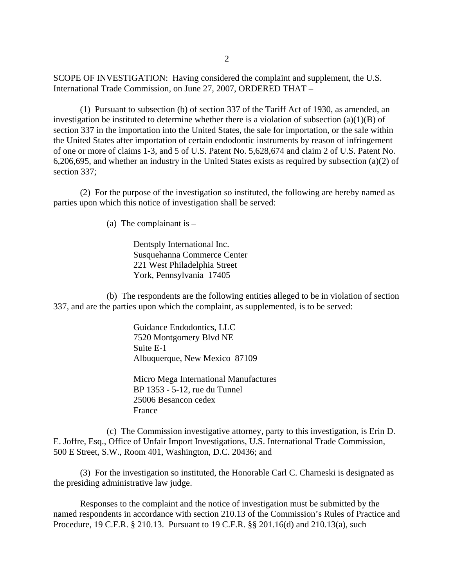SCOPE OF INVESTIGATION: Having considered the complaint and supplement, the U.S. International Trade Commission, on June 27, 2007, ORDERED THAT –

(1) Pursuant to subsection (b) of section 337 of the Tariff Act of 1930, as amended, an investigation be instituted to determine whether there is a violation of subsection (a)(1)(B) of section 337 in the importation into the United States, the sale for importation, or the sale within the United States after importation of certain endodontic instruments by reason of infringement of one or more of claims 1-3, and 5 of U.S. Patent No. 5,628,674 and claim 2 of U.S. Patent No. 6,206,695, and whether an industry in the United States exists as required by subsection (a)(2) of section 337;

(2) For the purpose of the investigation so instituted, the following are hereby named as parties upon which this notice of investigation shall be served:

(a) The complainant is  $-$ 

Dentsply International Inc. Susquehanna Commerce Center 221 West Philadelphia Street York, Pennsylvania 17405

(b) The respondents are the following entities alleged to be in violation of section 337, and are the parties upon which the complaint, as supplemented, is to be served:

> Guidance Endodontics, LLC 7520 Montgomery Blvd NE Suite E-1 Albuquerque, New Mexico 87109

Micro Mega International Manufactures BP 1353 - 5-12, rue du Tunnel 25006 Besancon cedex France

(c) The Commission investigative attorney, party to this investigation, is Erin D. E. Joffre, Esq., Office of Unfair Import Investigations, U.S. International Trade Commission, 500 E Street, S.W., Room 401, Washington, D.C. 20436; and

(3) For the investigation so instituted, the Honorable Carl C. Charneski is designated as the presiding administrative law judge.

Responses to the complaint and the notice of investigation must be submitted by the named respondents in accordance with section 210.13 of the Commission's Rules of Practice and Procedure, 19 C.F.R. § 210.13. Pursuant to 19 C.F.R. §§ 201.16(d) and 210.13(a), such